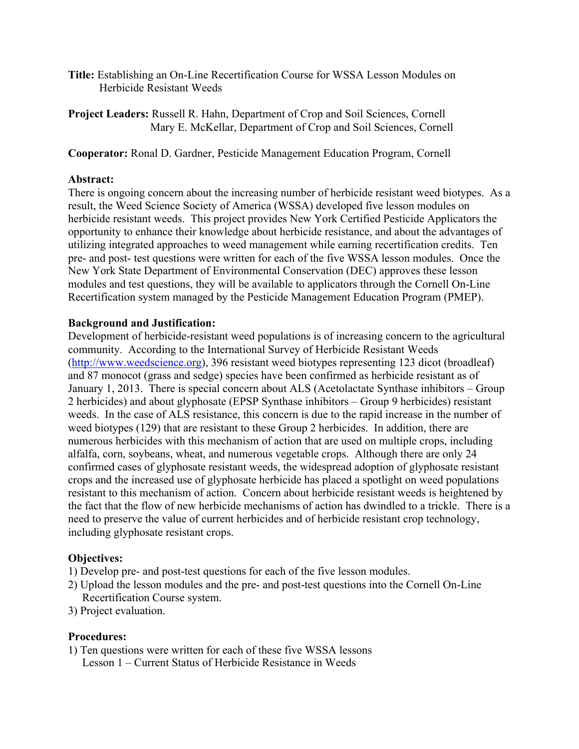- Title: Establishing an On-Line Recertification Course for WSSA Lesson Modules on Herbicide Resistant Weeds
- Project Leaders: Russell R. Hahn, Department of Crop and Soil Sciences, Cornell Mary E. McKellar, Department of Crop and Soil Sciences, Cornell

### Cooperator: Ronal D. Gardner, Pesticide Management Education Program, Cornell

### Abstract:

There is ongoing concern about the increasing number of herbicide resistant weed biotypes. As a result, the Weed Science Society of America (WSSA) developed five lesson modules on herbicide resistant weeds. This project provides New York Certified Pesticide Applicators the opportunity to enhance their knowledge about herbicide resistance, and about the advantages of utilizing integrated approaches to weed management while earning recertification credits. Ten pre- and post- test questions were written for each of the five WSSA lesson modules. Once the New York State Department of Environmental Conservation (DEC) approves these lesson modules and test questions, they will be available to applicators through the Cornell On-Line Recertification system managed by the Pesticide Management Education Program (PMEP).

## Background and Justification:

Development of herbicide-resistant weed populations is of increasing concern to the agricultural community. According to the International Survey of Herbicide Resistant Weeds (http://www.weedscience.org), 396 resistant weed biotypes representing 123 dicot (broadleaf) and 87 monocot (grass and sedge) species have been confirmed as herbicide resistant as of January 1, 2013. There is special concern about ALS (Acetolactate Synthase inhibitors – Group 2 herbicides) and about glyphosate (EPSP Synthase inhibitors – Group 9 herbicides) resistant weeds. In the case of ALS resistance, this concern is due to the rapid increase in the number of weed biotypes (129) that are resistant to these Group 2 herbicides. In addition, there are numerous herbicides with this mechanism of action that are used on multiple crops, including alfalfa, corn, soybeans, wheat, and numerous vegetable crops. Although there are only 24 confirmed cases of glyphosate resistant weeds, the widespread adoption of glyphosate resistant crops and the increased use of glyphosate herbicide has placed a spotlight on weed populations resistant to this mechanism of action. Concern about herbicide resistant weeds is heightened by the fact that the flow of new herbicide mechanisms of action has dwindled to a trickle. There is a need to preserve the value of current herbicides and of herbicide resistant crop technology, including glyphosate resistant crops.

# Objectives:

- 1) Develop pre- and post-test questions for each of the five lesson modules.
- 2) Upload the lesson modules and the pre- and post-test questions into the Cornell On-Line Recertification Course system.
- 3) Project evaluation.

#### Procedures:

1) Ten questions were written for each of these five WSSA lessons Lesson 1 – Current Status of Herbicide Resistance in Weeds